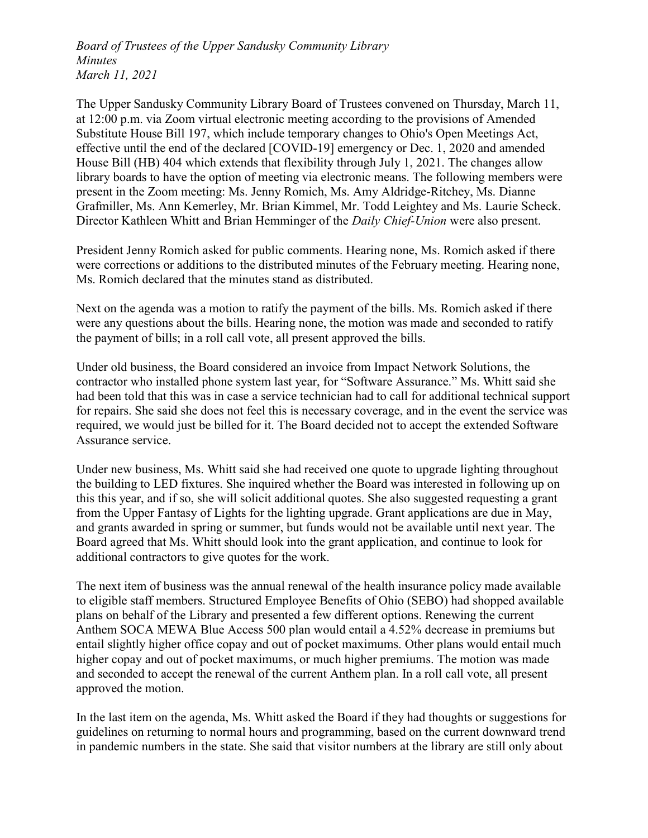Board of Trustees of the Upper Sandusky Community Library Minutes March 11, 2021

The Upper Sandusky Community Library Board of Trustees convened on Thursday, March 11, at 12:00 p.m. via Zoom virtual electronic meeting according to the provisions of Amended Substitute House Bill 197, which include temporary changes to Ohio's Open Meetings Act, effective until the end of the declared [COVID-19] emergency or Dec. 1, 2020 and amended House Bill (HB) 404 which extends that flexibility through July 1, 2021. The changes allow library boards to have the option of meeting via electronic means. The following members were present in the Zoom meeting: Ms. Jenny Romich, Ms. Amy Aldridge-Ritchey, Ms. Dianne Grafmiller, Ms. Ann Kemerley, Mr. Brian Kimmel, Mr. Todd Leightey and Ms. Laurie Scheck. Director Kathleen Whitt and Brian Hemminger of the *Daily Chief-Union* were also present.

President Jenny Romich asked for public comments. Hearing none, Ms. Romich asked if there were corrections or additions to the distributed minutes of the February meeting. Hearing none, Ms. Romich declared that the minutes stand as distributed.

Next on the agenda was a motion to ratify the payment of the bills. Ms. Romich asked if there were any questions about the bills. Hearing none, the motion was made and seconded to ratify the payment of bills; in a roll call vote, all present approved the bills.

Under old business, the Board considered an invoice from Impact Network Solutions, the contractor who installed phone system last year, for "Software Assurance." Ms. Whitt said she had been told that this was in case a service technician had to call for additional technical support for repairs. She said she does not feel this is necessary coverage, and in the event the service was required, we would just be billed for it. The Board decided not to accept the extended Software Assurance service.

Under new business, Ms. Whitt said she had received one quote to upgrade lighting throughout the building to LED fixtures. She inquired whether the Board was interested in following up on this this year, and if so, she will solicit additional quotes. She also suggested requesting a grant from the Upper Fantasy of Lights for the lighting upgrade. Grant applications are due in May, and grants awarded in spring or summer, but funds would not be available until next year. The Board agreed that Ms. Whitt should look into the grant application, and continue to look for additional contractors to give quotes for the work.

The next item of business was the annual renewal of the health insurance policy made available to eligible staff members. Structured Employee Benefits of Ohio (SEBO) had shopped available plans on behalf of the Library and presented a few different options. Renewing the current Anthem SOCA MEWA Blue Access 500 plan would entail a 4.52% decrease in premiums but entail slightly higher office copay and out of pocket maximums. Other plans would entail much higher copay and out of pocket maximums, or much higher premiums. The motion was made and seconded to accept the renewal of the current Anthem plan. In a roll call vote, all present approved the motion.

In the last item on the agenda, Ms. Whitt asked the Board if they had thoughts or suggestions for guidelines on returning to normal hours and programming, based on the current downward trend in pandemic numbers in the state. She said that visitor numbers at the library are still only about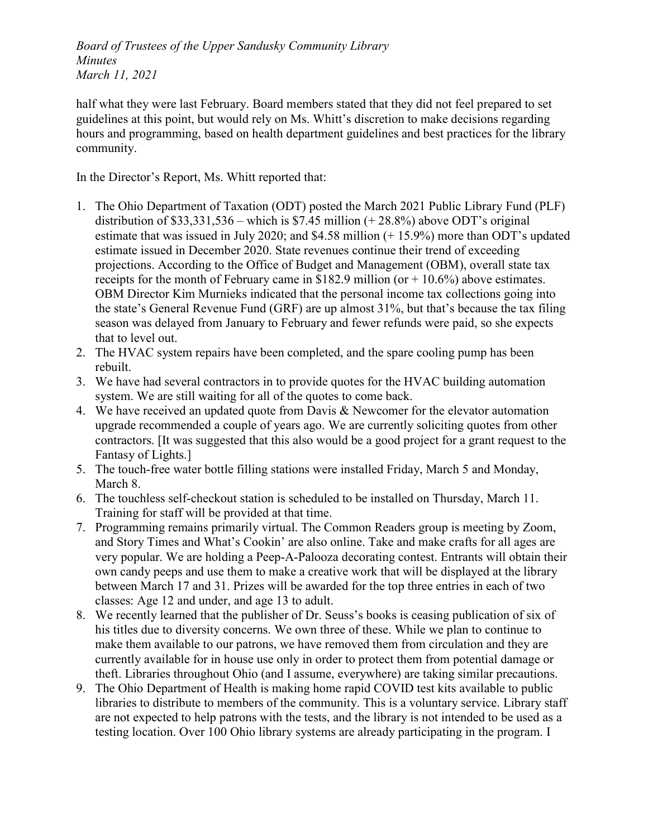Board of Trustees of the Upper Sandusky Community Library Minutes March 11, 2021

half what they were last February. Board members stated that they did not feel prepared to set guidelines at this point, but would rely on Ms. Whitt's discretion to make decisions regarding hours and programming, based on health department guidelines and best practices for the library community.

In the Director's Report, Ms. Whitt reported that:

- 1. The Ohio Department of Taxation (ODT) posted the March 2021 Public Library Fund (PLF) distribution of  $$33,331,536$  – which is  $$7.45$  million (+28.8%) above ODT's original estimate that was issued in July 2020; and \$4.58 million (+ 15.9%) more than ODT's updated estimate issued in December 2020. State revenues continue their trend of exceeding projections. According to the Office of Budget and Management (OBM), overall state tax receipts for the month of February came in \$182.9 million (or  $+$  10.6%) above estimates. OBM Director Kim Murnieks indicated that the personal income tax collections going into the state's General Revenue Fund (GRF) are up almost 31%, but that's because the tax filing season was delayed from January to February and fewer refunds were paid, so she expects that to level out.
- 2. The HVAC system repairs have been completed, and the spare cooling pump has been rebuilt.
- 3. We have had several contractors in to provide quotes for the HVAC building automation system. We are still waiting for all of the quotes to come back.
- 4. We have received an updated quote from Davis & Newcomer for the elevator automation upgrade recommended a couple of years ago. We are currently soliciting quotes from other contractors. [It was suggested that this also would be a good project for a grant request to the Fantasy of Lights.]
- 5. The touch-free water bottle filling stations were installed Friday, March 5 and Monday, March 8.
- 6. The touchless self-checkout station is scheduled to be installed on Thursday, March 11. Training for staff will be provided at that time.
- 7. Programming remains primarily virtual. The Common Readers group is meeting by Zoom, and Story Times and What's Cookin' are also online. Take and make crafts for all ages are very popular. We are holding a Peep-A-Palooza decorating contest. Entrants will obtain their own candy peeps and use them to make a creative work that will be displayed at the library between March 17 and 31. Prizes will be awarded for the top three entries in each of two classes: Age 12 and under, and age 13 to adult.
- 8. We recently learned that the publisher of Dr. Seuss's books is ceasing publication of six of his titles due to diversity concerns. We own three of these. While we plan to continue to make them available to our patrons, we have removed them from circulation and they are currently available for in house use only in order to protect them from potential damage or theft. Libraries throughout Ohio (and I assume, everywhere) are taking similar precautions.
- 9. The Ohio Department of Health is making home rapid COVID test kits available to public libraries to distribute to members of the community. This is a voluntary service. Library staff are not expected to help patrons with the tests, and the library is not intended to be used as a testing location. Over 100 Ohio library systems are already participating in the program. I